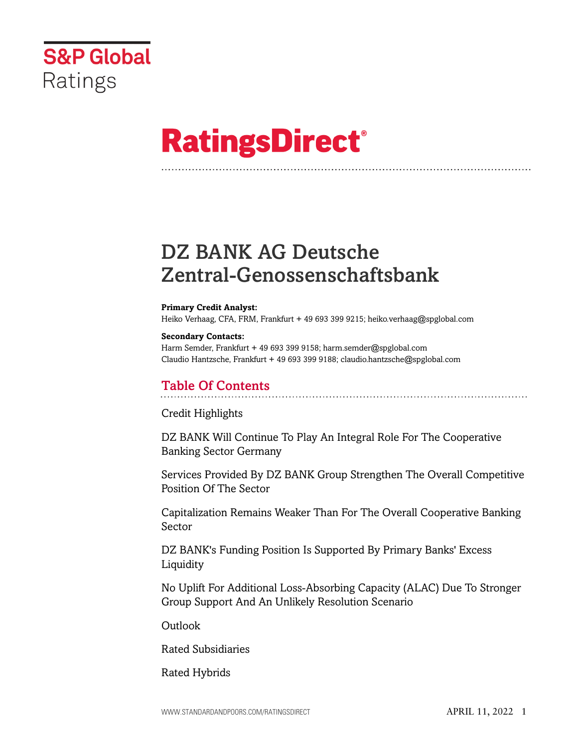

# **RatingsDirect®**

## DZ BANK AG Deutsche Zentral-Genossenschaftsbank

#### **Primary Credit Analyst:**

Heiko Verhaag, CFA, FRM, Frankfurt + 49 693 399 9215; heiko.verhaag@spglobal.com

#### **Secondary Contacts:**

Harm Semder, Frankfurt + 49 693 399 9158; harm.semder@spglobal.com Claudio Hantzsche, Frankfurt + 49 693 399 9188; claudio.hantzsche@spglobal.com

## Table Of Contents

[Credit Highlights](#page-2-0)

[DZ BANK Will Continue To Play An Integral Role For The Cooperative](#page-2-1) [Banking Sector Germany](#page-2-1)

[Services Provided By DZ BANK Group Strengthen The Overall Competitive](#page-2-2) [Position Of The Sector](#page-2-2)

[Capitalization Remains Weaker Than For The Overall Cooperative Banking](#page-3-0) [Sector](#page-3-0)

[DZ BANK's Funding Position Is Supported By Primary Banks' Excess](#page-4-0) [Liquidity](#page-4-0)

[No Uplift For Additional Loss-Absorbing Capacity \(ALAC\) Due To Stronger](#page-4-1) [Group Support And An Unlikely Resolution Scenario](#page-4-1)

[Outlook](#page--1-0)

[Rated Subsidiaries](#page-5-0)

[Rated Hybrids](#page-5-1)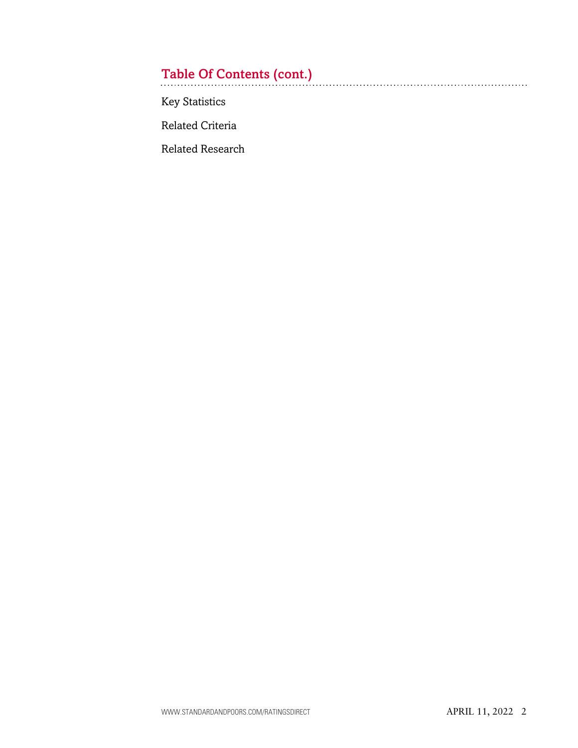## Table Of Contents (cont.)

[Key Statistics](#page-6-0)

[Related Criteria](#page-9-0)

[Related Research](#page-9-1)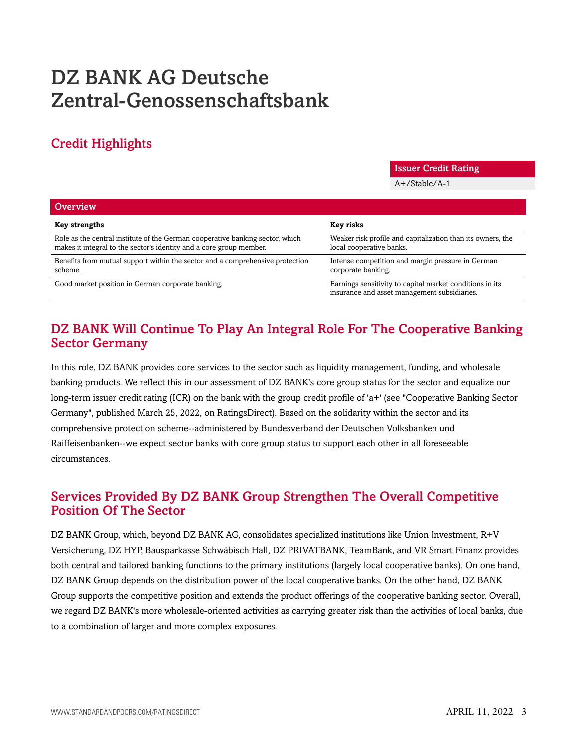## DZ BANK AG Deutsche Zentral-Genossenschaftsbank

## <span id="page-2-0"></span>Credit Highlights

Issuer Credit Rating

A+/Stable/A-1

| Overview                                                                                                                                             |                                                                                                          |
|------------------------------------------------------------------------------------------------------------------------------------------------------|----------------------------------------------------------------------------------------------------------|
| <b>Key strengths</b>                                                                                                                                 | Key risks                                                                                                |
| Role as the central institute of the German cooperative banking sector, which<br>makes it integral to the sector's identity and a core group member. | Weaker risk profile and capitalization than its owners, the<br>local cooperative banks.                  |
| Benefits from mutual support within the sector and a comprehensive protection<br>scheme.                                                             | Intense competition and margin pressure in German<br>corporate banking.                                  |
| Good market position in German corporate banking.                                                                                                    | Earnings sensitivity to capital market conditions in its<br>insurance and asset management subsidiaries. |

## <span id="page-2-1"></span>DZ BANK Will Continue To Play An Integral Role For The Cooperative Banking Sector Germany

In this role, DZ BANK provides core services to the sector such as liquidity management, funding, and wholesale banking products. We reflect this in our assessment of DZ BANK's core group status for the sector and equalize our long-term issuer credit rating (ICR) on the bank with the group credit profile of 'a+' (see "Cooperative Banking Sector Germany", published March 25, 2022, on RatingsDirect). Based on the solidarity within the sector and its comprehensive protection scheme--administered by Bundesverband der Deutschen Volksbanken und Raiffeisenbanken--we expect sector banks with core group status to support each other in all foreseeable circumstances.

## <span id="page-2-2"></span>Services Provided By DZ BANK Group Strengthen The Overall Competitive Position Of The Sector

DZ BANK Group, which, beyond DZ BANK AG, consolidates specialized institutions like Union Investment, R+V Versicherung, DZ HYP, Bausparkasse Schwäbisch Hall, DZ PRIVATBANK, TeamBank, and VR Smart Finanz provides both central and tailored banking functions to the primary institutions (largely local cooperative banks). On one hand, DZ BANK Group depends on the distribution power of the local cooperative banks. On the other hand, DZ BANK Group supports the competitive position and extends the product offerings of the cooperative banking sector. Overall, we regard DZ BANK's more wholesale-oriented activities as carrying greater risk than the activities of local banks, due to a combination of larger and more complex exposures.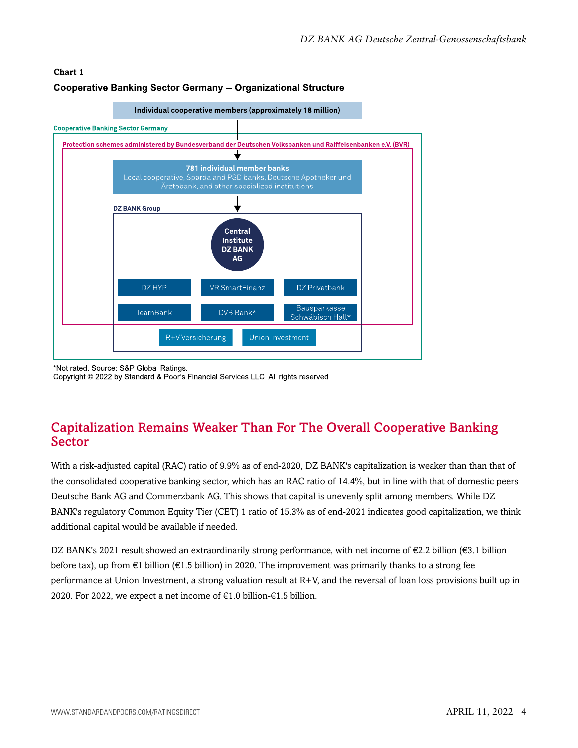### **Chart 1 Cooperative Banking Sector Germany -- Organizational Structure**



\*Not rated. Source: S&P Global Ratings.

Copyright © 2022 by Standard & Poor's Financial Services LLC. All rights reserved.

## <span id="page-3-0"></span>Capitalization Remains Weaker Than For The Overall Cooperative Banking Sector

With a risk-adjusted capital (RAC) ratio of 9.9% as of end-2020, DZ BANK's capitalization is weaker than than that of the consolidated cooperative banking sector, which has an RAC ratio of 14.4%, but in line with that of domestic peers Deutsche Bank AG and Commerzbank AG. This shows that capital is unevenly split among members. While DZ BANK's regulatory Common Equity Tier (CET) 1 ratio of 15.3% as of end-2021 indicates good capitalization, we think additional capital would be available if needed.

DZ BANK's 2021 result showed an extraordinarily strong performance, with net income of €2.2 billion (€3.1 billion before tax), up from €1 billion (€1.5 billion) in 2020. The improvement was primarily thanks to a strong fee performance at Union Investment, a strong valuation result at R+V, and the reversal of loan loss provisions built up in 2020. For 2022, we expect a net income of €1.0 billion-€1.5 billion.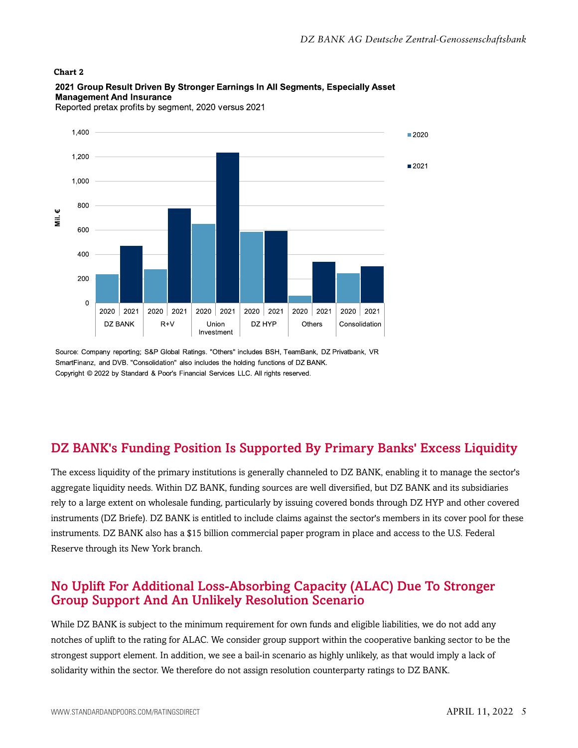#### **Chart 2**



2021 Group Result Driven By Stronger Earnings In All Segments, Especially Asset **Management And Insurance** 

Reported pretax profits by segment, 2020 versus 2021

Source: Company reporting; S&P Global Ratings. "Others" includes BSH, TeamBank, DZ Privatbank, VR SmartFinanz, and DVB. "Consolidation" also includes the holding functions of DZ BANK. Copyright © 2022 by Standard & Poor's Financial Services LLC. All rights reserved.

## <span id="page-4-0"></span>DZ BANK's Funding Position Is Supported By Primary Banks' Excess Liquidity

The excess liquidity of the primary institutions is generally channeled to DZ BANK, enabling it to manage the sector's aggregate liquidity needs. Within DZ BANK, funding sources are well diversified, but DZ BANK and its subsidiaries rely to a large extent on wholesale funding, particularly by issuing covered bonds through DZ HYP and other covered instruments (DZ Briefe). DZ BANK is entitled to include claims against the sector's members in its cover pool for these instruments. DZ BANK also has a \$15 billion commercial paper program in place and access to the U.S. Federal Reserve through its New York branch.

## <span id="page-4-1"></span>No Uplift For Additional Loss-Absorbing Capacity (ALAC) Due To Stronger Group Support And An Unlikely Resolution Scenario

While DZ BANK is subject to the minimum requirement for own funds and eligible liabilities, we do not add any notches of uplift to the rating for ALAC. We consider group support within the cooperative banking sector to be the strongest support element. In addition, we see a bail-in scenario as highly unlikely, as that would imply a lack of solidarity within the sector. We therefore do not assign resolution counterparty ratings to DZ BANK.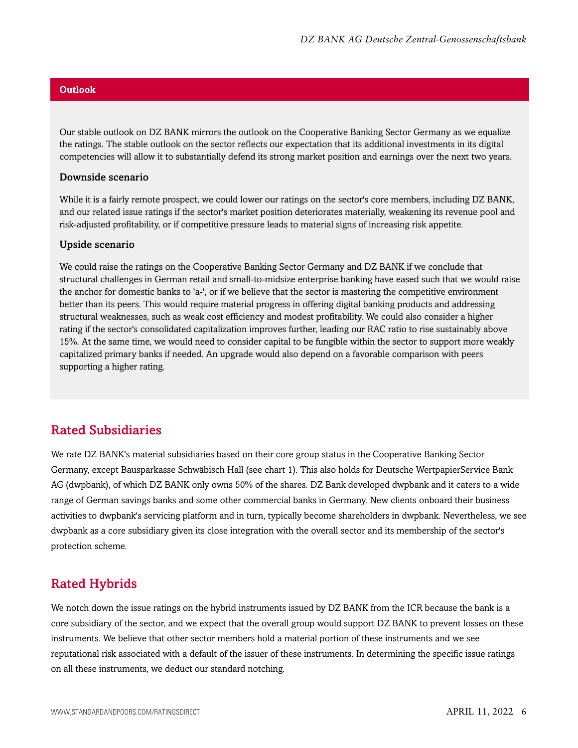### **Outlook**

Our stable outlook on DZ BANK mirrors the outlook on the Cooperative Banking Sector Germany as we equalize the ratings. The stable outlook on the sector reflects our expectation that its additional investments in its digital competencies will allow it to substantially defend its strong market position and earnings over the next two years.

#### Downside scenario

While it is a fairly remote prospect, we could lower our ratings on the sector's core members, including DZ BANK, and our related issue ratings if the sector's market position deteriorates materially, weakening its revenue pool and risk-adjusted profitability, or if competitive pressure leads to material signs of increasing risk appetite.

#### Upside scenario

We could raise the ratings on the Cooperative Banking Sector Germany and DZ BANK if we conclude that structural challenges in German retail and small-to-midsize enterprise banking have eased such that we would raise the anchor for domestic banks to 'a-', or if we believe that the sector is mastering the competitive environment better than its peers. This would require material progress in offering digital banking products and addressing structural weaknesses, such as weak cost efficiency and modest profitability. We could also consider a higher rating if the sector's consolidated capitalization improves further, leading our RAC ratio to rise sustainably above 15%. At the same time, we would need to consider capital to be fungible within the sector to support more weakly capitalized primary banks if needed. An upgrade would also depend on a favorable comparison with peers supporting a higher rating.

## <span id="page-5-0"></span>Rated Subsidiaries

We rate DZ BANK's material subsidiaries based on their core group status in the Cooperative Banking Sector Germany, except Bausparkasse Schwäbisch Hall (see chart 1). This also holds for Deutsche WertpapierService Bank AG (dwpbank), of which DZ BANK only owns 50% of the shares. DZ Bank developed dwpbank and it caters to a wide range of German savings banks and some other commercial banks in Germany. New clients onboard their business activities to dwpbank's servicing platform and in turn, typically become shareholders in dwpbank. Nevertheless, we see dwpbank as a core subsidiary given its close integration with the overall sector and its membership of the sector's protection scheme.

## <span id="page-5-1"></span>Rated Hybrids

We notch down the issue ratings on the hybrid instruments issued by DZ BANK from the ICR because the bank is a core subsidiary of the sector, and we expect that the overall group would support DZ BANK to prevent losses on these instruments. We believe that other sector members hold a material portion of these instruments and we see reputational risk associated with a default of the issuer of these instruments. In determining the specific issue ratings on all these instruments, we deduct our standard notching.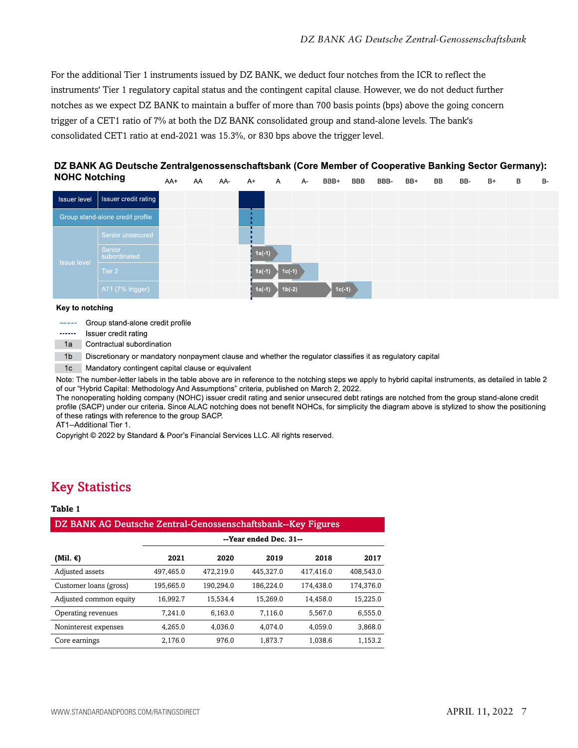For the additional Tier 1 instruments issued by DZ BANK, we deduct four notches from the ICR to reflect the instruments' Tier 1 regulatory capital status and the contingent capital clause. However, we do not deduct further notches as we expect DZ BANK to maintain a buffer of more than 700 basis points (bps) above the going concern trigger of a CET1 ratio of 7% at both the DZ BANK consolidated group and stand-alone levels. The bank's consolidated CET1 ratio at end-2021 was 15.3%, or 830 bps above the trigger level.



DZ BANK AG Deutsche Zentralgenossenschaftsbank (Core Member of Cooperative Banking Sector Germany):

#### Key to notching

Group stand-alone credit profile  $\frac{1}{2} \frac{1}{2} \frac{1}{2} \frac{1}{2} \frac{1}{2} \frac{1}{2} \frac{1}{2} \frac{1}{2} \frac{1}{2} \frac{1}{2} \frac{1}{2} \frac{1}{2} \frac{1}{2} \frac{1}{2} \frac{1}{2} \frac{1}{2} \frac{1}{2} \frac{1}{2} \frac{1}{2} \frac{1}{2} \frac{1}{2} \frac{1}{2} \frac{1}{2} \frac{1}{2} \frac{1}{2} \frac{1}{2} \frac{1}{2} \frac{1}{2} \frac{1}{2} \frac{1}{2} \frac{1}{2} \frac{$ 

------Issuer credit rating

1a Contractual subordination

 $-1<sub>b</sub>$ Discretionary or mandatory nonpayment clause and whether the regulator classifies it as regulatory capital

Mandatory contingent capital clause or equivalent  $1c$ 

Note: The number-letter labels in the table above are in reference to the notching steps we apply to hybrid capital instruments, as detailed in table 2 of our "Hybrid Capital: Methodology And Assumptions" criteria, published on March 2, 2022.

The nonoperating holding company (NOHC) issuer credit rating and senior unsecured debt ratings are notched from the group stand-alone credit profile (SACP) under our criteria. Since ALAC notching does not benefit NOHCs, for simplicity the diagram above is stylized to show the positioning of these ratings with reference to the group SACP.

AT1--Additional Tier 1.

Copyright © 2022 by Standard & Poor's Financial Services LLC. All rights reserved.

## <span id="page-6-0"></span>Key Statistics

#### **Table 1**

## DZ BANK AG Deutsche Zentral-Genossenschaftsbank--Key Figures **--Year ended Dec. 31-- (Mil. €) 2021 2020 2019 2018 2017** Adjusted assets 497,465.0 472,219.0 445,327.0 417,416.0 408,543.0 Customer loans (gross) 195,665.0 190,294.0 186,224.0 174,438.0 174,376.0 Adjusted common equity 16,992.7 15,534.4 15,269.0 14,458.0 15,225.0 Operating revenues 7,241.0 6,163.0 7,116.0 5,567.0 6,555.0 Noninterest expenses 4,265.0 4,036.0 4,074.0 4,059.0 3,868.0 Core earnings 2,176.0 976.0 1,873.7 1,038.6 1,153.2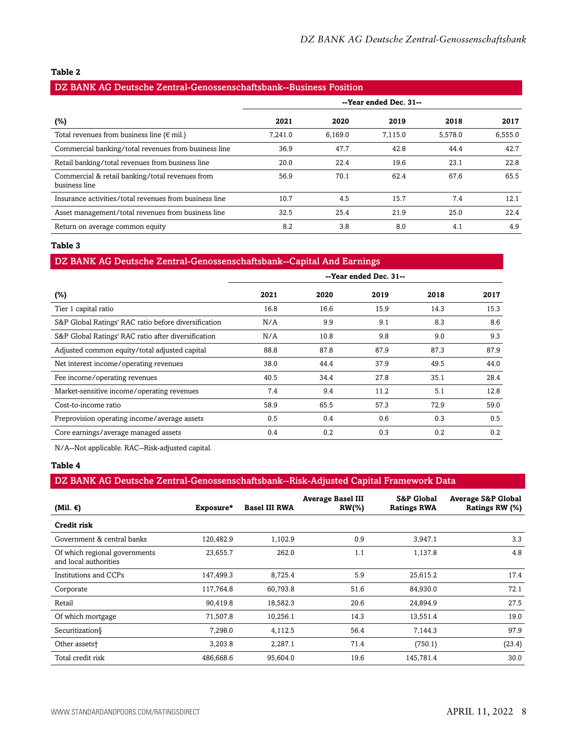#### **Table 2**

| DZ BANK AG Deutsche Zentral-Genossenschaftsbank--Business Position |         |         |                        |         |         |
|--------------------------------------------------------------------|---------|---------|------------------------|---------|---------|
|                                                                    |         |         | --Year ended Dec. 31-- |         |         |
| (%)                                                                | 2021    | 2020    | 2019                   | 2018    | 2017    |
| Total revenues from business line ( $\in$ mil.)                    | 7.241.0 | 6.169.0 | 7.115.0                | 5.578.0 | 6,555.0 |
| Commercial banking/total revenues from business line               | 36.9    | 47.7    | 42.8                   | 44.4    | 42.7    |
| Retail banking/total revenues from business line                   | 20.0    | 22.4    | 19.6                   | 23.1    | 22.8    |
| Commercial & retail banking/total revenues from<br>business line   | 56.9    | 70.1    | 62.4                   | 67.6    | 65.5    |
| Insurance activities/total revenues from business line             | 10.7    | 4.5     | 15.7                   | 7.4     | 12.1    |
| Asset management/total revenues from business line                 | 32.5    | 25.4    | 21.9                   | 25.0    | 22.4    |
| Return on average common equity                                    | 8.2     | 3.8     | 8.0                    | 4.1     | 4.9     |

#### **Table 3**

## DZ BANK AG Deutsche Zentral-Genossenschaftsbank--Capital And Earnings

|                                                      |      |      | --Year ended Dec. 31-- |      |      |
|------------------------------------------------------|------|------|------------------------|------|------|
| $(\%)$                                               | 2021 | 2020 | 2019                   | 2018 | 2017 |
| Tier 1 capital ratio                                 | 16.8 | 16.6 | 15.9                   | 14.3 | 15.3 |
| S&P Global Ratings' RAC ratio before diversification | N/A  | 9.9  | 9.1                    | 8.3  | 8.6  |
| S&P Global Ratings' RAC ratio after diversification  | N/A  | 10.8 | 9.8                    | 9.0  | 9.3  |
| Adjusted common equity/total adjusted capital        | 88.8 | 87.8 | 87.9                   | 87.3 | 87.9 |
| Net interest income/operating revenues               | 38.0 | 44.4 | 37.9                   | 49.5 | 44.0 |
| Fee income/operating revenues                        | 40.5 | 34.4 | 27.8                   | 35.1 | 28.4 |
| Market-sensitive income/operating revenues           | 7.4  | 9.4  | 11.2                   | 5.1  | 12.8 |
| Cost-to-income ratio                                 | 58.9 | 65.5 | 57.3                   | 72.9 | 59.0 |
| Preprovision operating income/average assets         | 0.5  | 0.4  | 0.6                    | 0.3  | 0.5  |
| Core earnings/average managed assets                 | 0.4  | 0.2  | 0.3                    | 0.2  | 0.2  |

N/A--Not applicable. RAC--Risk-adjusted capital.

### **Table 4**

## DZ BANK AG Deutsche Zentral-Genossenschaftsbank--Risk-Adjusted Capital Framework Data

| (Mil. $\epsilon$ )                                     | Exposure* | <b>Basel III RWA</b> | <b>Average Basel III</b><br>$RW(\% )$ | <b>S&amp;P Global</b><br><b>Ratings RWA</b> | <b>Average S&amp;P Global</b><br>Ratings RW (%) |
|--------------------------------------------------------|-----------|----------------------|---------------------------------------|---------------------------------------------|-------------------------------------------------|
| Credit risk                                            |           |                      |                                       |                                             |                                                 |
| Government & central banks                             | 120,482.9 | 1,102.9              | 0.9                                   | 3,947.1                                     | 3.3                                             |
| Of which regional governments<br>and local authorities | 23,655.7  | 262.0                | 1.1                                   | 1,137.8                                     | 4.8                                             |
| Institutions and CCPs                                  | 147,499.3 | 8,725.4              | 5.9                                   | 25,615.2                                    | 17.4                                            |
| Corporate                                              | 117,764.8 | 60,793.8             | 51.6                                  | 84,930.0                                    | 72.1                                            |
| Retail                                                 | 90,419.8  | 18,582.3             | 20.6                                  | 24,894.9                                    | 27.5                                            |
| Of which mortgage                                      | 71,507.8  | 10,256.1             | 14.3                                  | 13,551.4                                    | 19.0                                            |
| Securitization§                                        | 7,298.0   | 4,112.5              | 56.4                                  | 7.144.3                                     | 97.9                                            |
| Other assets <sup>+</sup>                              | 3,203.8   | 2,287.1              | 71.4                                  | (750.1)                                     | (23.4)                                          |
| Total credit risk                                      | 486,668.6 | 95,604.0             | 19.6                                  | 145,781.4                                   | 30.0                                            |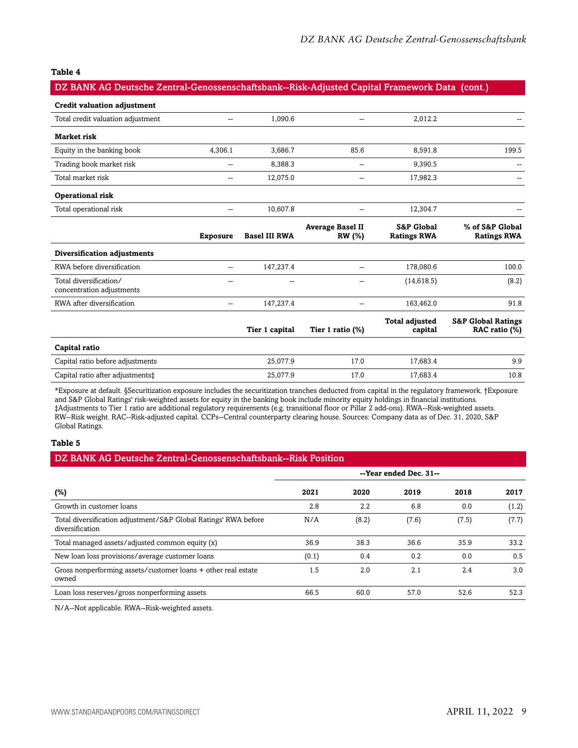#### **Table 4**

### DZ BANK AG Deutsche Zentral-Genossenschaftsbank--Risk-Adjusted Capital Framework Data (cont.)

| <b>Credit valuation adjustment</b>                  |                          |                      |                                          |                                             |                                                |
|-----------------------------------------------------|--------------------------|----------------------|------------------------------------------|---------------------------------------------|------------------------------------------------|
| Total credit valuation adjustment                   | $\overline{a}$           | 1,090.6              | $\overline{a}$                           | 2,012.2                                     |                                                |
| Market risk                                         |                          |                      |                                          |                                             |                                                |
| Equity in the banking book                          | 4,306.1                  | 3,686.7              | 85.6                                     | 8,591.8                                     | 199.5                                          |
| Trading book market risk                            | --                       | 8,388.3              |                                          | 9,390.5                                     |                                                |
| Total market risk                                   | $\overline{\phantom{m}}$ | 12,075.0             | --                                       | 17,982.3                                    |                                                |
| Operational risk                                    |                          |                      |                                          |                                             |                                                |
| Total operational risk                              | --                       | 10,607.8             | --                                       | 12,304.7                                    |                                                |
|                                                     | <b>Exposure</b>          | <b>Basel III RWA</b> | <b>Average Basel II</b><br><b>RW</b> (%) | <b>S&amp;P Global</b><br><b>Ratings RWA</b> | % of S&P Global<br><b>Ratings RWA</b>          |
| Diversification adjustments                         |                          |                      |                                          |                                             |                                                |
| RWA before diversification                          | $\overline{a}$           | 147,237.4            | $\overline{a}$                           | 178,080.6                                   | 100.0                                          |
| Total diversification/<br>concentration adjustments | $\sim$                   | --                   | --                                       | (14, 618.5)                                 | (8.2)                                          |
| RWA after diversification                           | $\sim$ $\sim$            | 147,237.4            | --                                       | 163,462.0                                   | 91.8                                           |
|                                                     |                          | Tier 1 capital       | Tier 1 ratio (%)                         | <b>Total adjusted</b><br>capital            | <b>S&amp;P Global Ratings</b><br>RAC ratio (%) |
| Capital ratio                                       |                          |                      |                                          |                                             |                                                |
| Capital ratio before adjustments                    |                          | 25,077.9             | 17.0                                     | 17,683.4                                    | 9.9                                            |
| Capital ratio after adjustments:                    |                          | 25,077.9             | 17.0                                     | 17,683.4                                    | 10.8                                           |

\*Exposure at default. §Securitization exposure includes the securitization tranches deducted from capital in the regulatory framework. †Exposure and S&P Global Ratings' risk-weighted assets for equity in the banking book include minority equity holdings in financial institutions. ‡Adjustments to Tier 1 ratio are additional regulatory requirements (e.g. transitional floor or Pillar 2 add-ons). RWA--Risk-weighted assets. RW--Risk weight. RAC--Risk-adjusted capital. CCPs--Central counterparty clearing house. Sources: Company data as of Dec. 31, 2020, S&P Global Ratings.

#### **Table 5**

| DZ BANK AG Deutsche Zentral-Genossenschaftsbank--Risk Position                     |                        |         |       |       |       |
|------------------------------------------------------------------------------------|------------------------|---------|-------|-------|-------|
|                                                                                    | --Year ended Dec. 31-- |         |       |       |       |
| $(\%)$                                                                             | 2021                   | 2020    | 2019  | 2018  | 2017  |
| Growth in customer loans                                                           | 2.8                    | $2.2\,$ | 6.8   | 0.0   | (1.2) |
| Total diversification adjustment/S&P Global Ratings' RWA before<br>diversification | N/A                    | (8.2)   | (7.6) | (7.5) | (7.7) |
| Total managed assets/adjusted common equity (x)                                    | 36.9                   | 38.3    | 36.6  | 35.9  | 33.2  |
| New loan loss provisions/average customer loans                                    | (0.1)                  | 0.4     | 0.2   | 0.0   | 0.5   |
| Gross nonperforming assets/customer loans + other real estate<br>owned             | 1.5                    | 2.0     | 2.1   | 2.4   | 3.0   |
| Loan loss reserves/gross nonperforming assets                                      | 66.5                   | 60.0    | 57.0  | 52.6  | 52.3  |

N/A--Not applicable. RWA--Risk-weighted assets.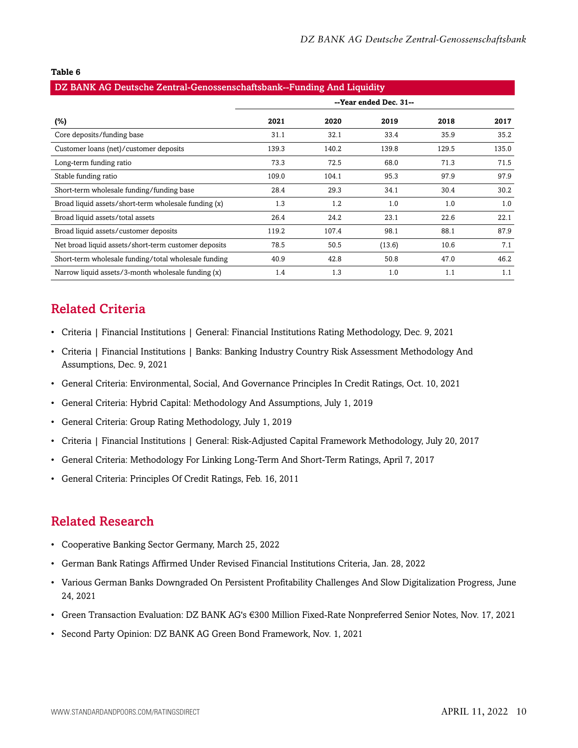#### **Table 6**

| DZ BANK AG Deutsche Zentral-Genossenschaftsbank--Funding And Liquidity |                        |       |        |       |       |
|------------------------------------------------------------------------|------------------------|-------|--------|-------|-------|
|                                                                        | --Year ended Dec. 31-- |       |        |       |       |
| $(\%)$                                                                 | 2021                   | 2020  | 2019   | 2018  | 2017  |
| Core deposits/funding base                                             | 31.1                   | 32.1  | 33.4   | 35.9  | 35.2  |
| Customer loans (net)/customer deposits                                 | 139.3                  | 140.2 | 139.8  | 129.5 | 135.0 |
| Long-term funding ratio                                                | 73.3                   | 72.5  | 68.0   | 71.3  | 71.5  |
| Stable funding ratio                                                   | 109.0                  | 104.1 | 95.3   | 97.9  | 97.9  |
| Short-term wholesale funding/funding base                              | 28.4                   | 29.3  | 34.1   | 30.4  | 30.2  |
| Broad liquid assets/short-term wholesale funding (x)                   | 1.3                    | 1.2   | 1.0    | 1.0   | 1.0   |
| Broad liquid assets/total assets                                       | 26.4                   | 24.2  | 23.1   | 22.6  | 22.1  |
| Broad liquid assets/customer deposits                                  | 119.2                  | 107.4 | 98.1   | 88.1  | 87.9  |
| Net broad liquid assets/short-term customer deposits                   | 78.5                   | 50.5  | (13.6) | 10.6  | 7.1   |
| Short-term wholesale funding/total wholesale funding                   | 40.9                   | 42.8  | 50.8   | 47.0  | 46.2  |
| Narrow liquid assets/3-month wholesale funding (x)                     | 1.4                    | 1.3   | 1.0    | 1.1   | 1.1   |

## <span id="page-9-0"></span>Related Criteria

- Criteria | Financial Institutions | General: Financial Institutions Rating Methodology, Dec. 9, 2021
- Criteria | Financial Institutions | Banks: Banking Industry Country Risk Assessment Methodology And Assumptions, Dec. 9, 2021
- General Criteria: Environmental, Social, And Governance Principles In Credit Ratings, Oct. 10, 2021
- General Criteria: Hybrid Capital: Methodology And Assumptions, July 1, 2019
- General Criteria: Group Rating Methodology, July 1, 2019
- Criteria | Financial Institutions | General: Risk-Adjusted Capital Framework Methodology, July 20, 2017
- General Criteria: Methodology For Linking Long-Term And Short-Term Ratings, April 7, 2017
- General Criteria: Principles Of Credit Ratings, Feb. 16, 2011

## <span id="page-9-1"></span>Related Research

- Cooperative Banking Sector Germany, March 25, 2022
- German Bank Ratings Affirmed Under Revised Financial Institutions Criteria, Jan. 28, 2022
- Various German Banks Downgraded On Persistent Profitability Challenges And Slow Digitalization Progress, June 24, 2021
- Green Transaction Evaluation: DZ BANK AG's €300 Million Fixed-Rate Nonpreferred Senior Notes, Nov. 17, 2021
- Second Party Opinion: DZ BANK AG Green Bond Framework, Nov. 1, 2021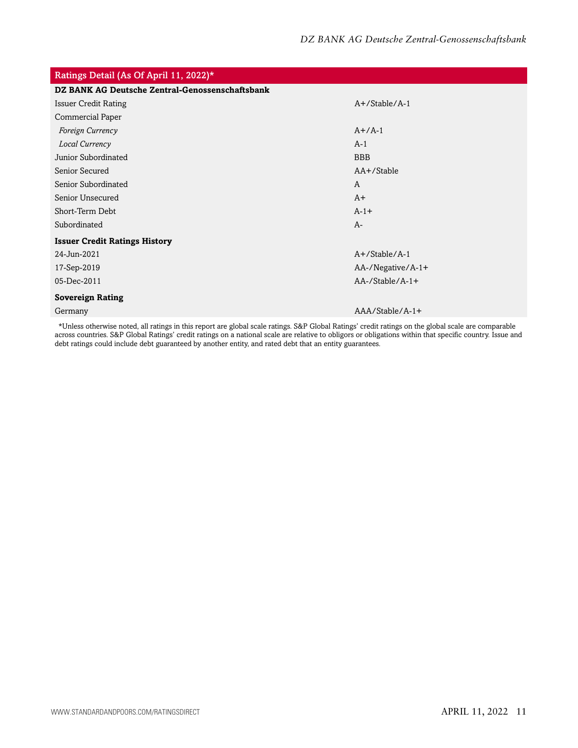| Ratings Detail (As Of April 11, 2022)*          |                        |
|-------------------------------------------------|------------------------|
| DZ BANK AG Deutsche Zentral-Genossenschaftsbank |                        |
| <b>Issuer Credit Rating</b>                     | $A+$ /Stable/A-1       |
| Commercial Paper                                |                        |
| Foreign Currency                                | $A+/A-1$               |
| Local Currency                                  | $A-1$                  |
| Junior Subordinated                             | <b>BBB</b>             |
| Senior Secured                                  | AA+/Stable             |
| Senior Subordinated                             | A                      |
| Senior Unsecured                                | $A+$                   |
| Short-Term Debt                                 | $A-1+$                 |
| Subordinated                                    | $A-$                   |
| <b>Issuer Credit Ratings History</b>            |                        |
| 24-Jun-2021                                     | $A+$ /Stable/A-1       |
| 17-Sep-2019                                     | AA-/Negative/A-1+      |
| 05-Dec-2011                                     | $AA$ -/Stable/ $A$ -1+ |
| <b>Sovereign Rating</b>                         |                        |
| Germany                                         | $AAA/Stable/A-1+$      |
|                                                 |                        |

\*Unless otherwise noted, all ratings in this report are global scale ratings. S&P Global Ratings' credit ratings on the global scale are comparable across countries. S&P Global Ratings' credit ratings on a national scale are relative to obligors or obligations within that specific country. Issue and debt ratings could include debt guaranteed by another entity, and rated debt that an entity guarantees.